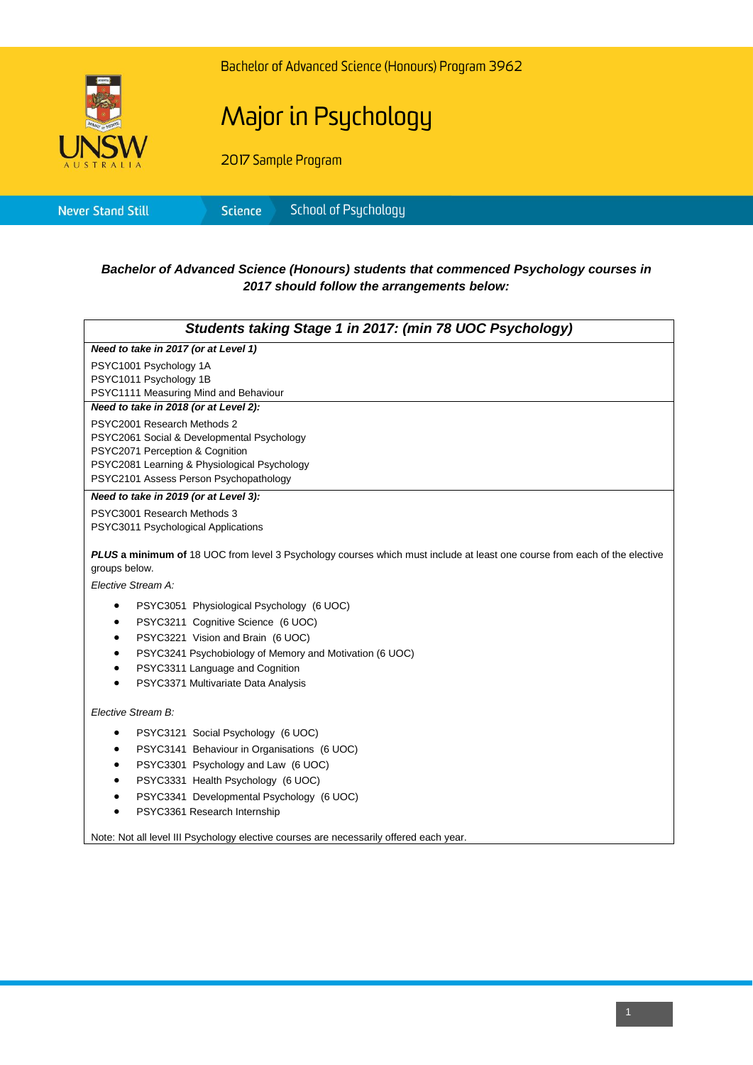

Bachelor of Advanced Science (Honours) Program 3962

## Major in Psychology

2017 Sample Program

|--|

## *Bachelor of Advanced Science (Honours) students that commenced Psychology courses in 2017 should follow the arrangements below:*

|                                                            | Students taking Stage 1 in 2017: (min 78 UOC Psychology)                                                                                                                                                                                                  |  |  |
|------------------------------------------------------------|-----------------------------------------------------------------------------------------------------------------------------------------------------------------------------------------------------------------------------------------------------------|--|--|
|                                                            | Need to take in 2017 (or at Level 1)                                                                                                                                                                                                                      |  |  |
|                                                            | PSYC1001 Psychology 1A<br>PSYC1011 Psychology 1B<br>PSYC1111 Measuring Mind and Behaviour                                                                                                                                                                 |  |  |
| Need to take in 2018 (or at Level 2):                      |                                                                                                                                                                                                                                                           |  |  |
|                                                            | PSYC2001 Research Methods 2<br>PSYC2061 Social & Developmental Psychology<br>PSYC2071 Perception & Cognition<br>PSYC2081 Learning & Physiological Psychology<br>PSYC2101 Assess Person Psychopathology                                                    |  |  |
|                                                            | Need to take in 2019 (or at Level 3):                                                                                                                                                                                                                     |  |  |
|                                                            | PSYC3001 Research Methods 3<br>PSYC3011 Psychological Applications<br><b>PLUS a minimum of</b> 18 UOC from level 3 Psychology courses which must include at least one course from each of the elective                                                    |  |  |
| groups below.                                              |                                                                                                                                                                                                                                                           |  |  |
|                                                            | Elective Stream A:                                                                                                                                                                                                                                        |  |  |
| $\bullet$<br>٠<br>$\bullet$<br>$\bullet$<br>٠<br>$\bullet$ | PSYC3051 Physiological Psychology (6 UOC)<br>PSYC3211 Cognitive Science (6 UOC)<br>PSYC3221 Vision and Brain (6 UOC)<br>PSYC3241 Psychobiology of Memory and Motivation (6 UOC)<br>PSYC3311 Language and Cognition<br>PSYC3371 Multivariate Data Analysis |  |  |
|                                                            | Elective Stream B:                                                                                                                                                                                                                                        |  |  |
| $\bullet$<br>$\bullet$<br>٠<br>٠<br>$\bullet$<br>$\bullet$ | PSYC3121 Social Psychology (6 UOC)<br>PSYC3141 Behaviour in Organisations (6 UOC)<br>PSYC3301 Psychology and Law (6 UOC)<br>PSYC3331 Health Psychology (6 UOC)<br>PSYC3341 Developmental Psychology (6 UOC)<br>PSYC3361 Research Internship               |  |  |

Note: Not all level III Psychology elective courses are necessarily offered each year.